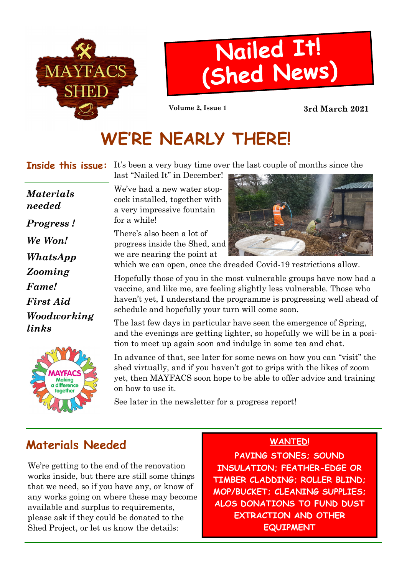

# Nailed It! (Shed News)

Volume 2, Issue 1 3rd March 2021

# WE'RE NEARLY THERE!

**Inside this issue:** It's been a very busy time over the last couple of months since the last "Nailed It" in December!

Progress ! We Won! Fame! First Aid Woodworking links Materials needed Zooming WhatsApp



We've had a new water stopcock installed, together with a very impressive fountain for a while!

There's also been a lot of progress inside the Shed, and we are nearing the point at



which we can open, once the dreaded Covid-19 restrictions allow.

Hopefully those of you in the most vulnerable groups have now had a vaccine, and like me, are feeling slightly less vulnerable. Those who haven't yet, I understand the programme is progressing well ahead of schedule and hopefully your turn will come soon.

The last few days in particular have seen the emergence of Spring, and the evenings are getting lighter, so hopefully we will be in a position to meet up again soon and indulge in some tea and chat.

In advance of that, see later for some news on how you can "visit" the shed virtually, and if you haven't got to grips with the likes of zoom yet, then MAYFACS soon hope to be able to offer advice and training on how to use it.

See later in the newsletter for a progress report!

# Materials Needed

We're getting to the end of the renovation works inside, but there are still some things that we need, so if you have any, or know of any works going on where these may become available and surplus to requirements, please ask if they could be donated to the Shed Project, or let us know the details:

#### WANTED!

PAVING STONES; SOUND INSULATION: FEATHER-EDGE OR TIMBER CLADDING; ROLLER BLIND; MOP/BUCKET; CLEANING SUPPLIES; ALOS DONATIONS TO FUND DUST EXTRACTION AND OTHER **EQUIPMENT**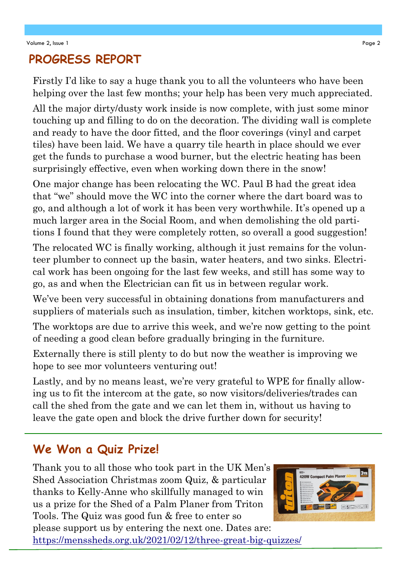#### PROGRESS REPORT

Firstly I'd like to say a huge thank you to all the volunteers who have been helping over the last few months; your help has been very much appreciated.

All the major dirty/dusty work inside is now complete, with just some minor touching up and filling to do on the decoration. The dividing wall is complete and ready to have the door fitted, and the floor coverings (vinyl and carpet tiles) have been laid. We have a quarry tile hearth in place should we ever get the funds to purchase a wood burner, but the electric heating has been surprisingly effective, even when working down there in the snow!

One major change has been relocating the WC. Paul B had the great idea that "we" should move the WC into the corner where the dart board was to go, and although a lot of work it has been very worthwhile. It's opened up a much larger area in the Social Room, and when demolishing the old partitions I found that they were completely rotten, so overall a good suggestion!

The relocated WC is finally working, although it just remains for the volunteer plumber to connect up the basin, water heaters, and two sinks. Electrical work has been ongoing for the last few weeks, and still has some way to go, as and when the Electrician can fit us in between regular work.

We've been very successful in obtaining donations from manufacturers and suppliers of materials such as insulation, timber, kitchen worktops, sink, etc.

The worktops are due to arrive this week, and we're now getting to the point of needing a good clean before gradually bringing in the furniture.

Externally there is still plenty to do but now the weather is improving we hope to see mor volunteers venturing out!

Lastly, and by no means least, we're very grateful to WPE for finally allowing us to fit the intercom at the gate, so now visitors/deliveries/trades can call the shed from the gate and we can let them in, without us having to leave the gate open and block the drive further down for security!

### We Won a Quiz Prize!

Thank you to all those who took part in the UK Men's Shed Association Christmas zoom Quiz, & particular thanks to Kelly-Anne who skillfully managed to win us a prize for the Shed of a Palm Planer from Triton Tools. The Quiz was good fun & free to enter so



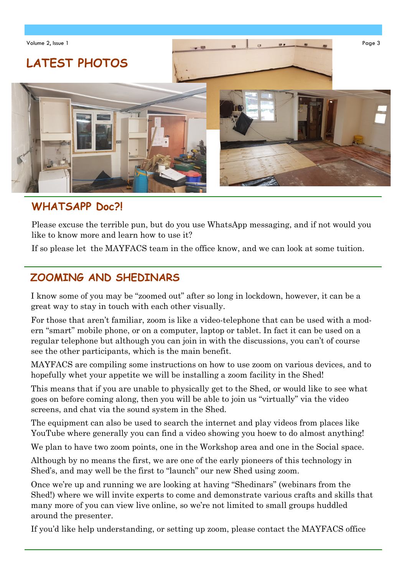

### WHATSAPP Doc?!

Please excuse the terrible pun, but do you use WhatsApp messaging, and if not would you like to know more and learn how to use it?

If so please let the MAYFACS team in the office know, and we can look at some tuition.

#### ZOOMING AND SHEDINARS

I know some of you may be "zoomed out" after so long in lockdown, however, it can be a great way to stay in touch with each other visually.

For those that aren't familiar, zoom is like a video-telephone that can be used with a modern "smart" mobile phone, or on a computer, laptop or tablet. In fact it can be used on a regular telephone but although you can join in with the discussions, you can't of course see the other participants, which is the main benefit.

MAYFACS are compiling some instructions on how to use zoom on various devices, and to hopefully whet your appetite we will be installing a zoom facility in the Shed!

This means that if you are unable to physically get to the Shed, or would like to see what goes on before coming along, then you will be able to join us "virtually" via the video screens, and chat via the sound system in the Shed.

The equipment can also be used to search the internet and play videos from places like YouTube where generally you can find a video showing you hoew to do almost anything!

We plan to have two zoom points, one in the Workshop area and one in the Social space.

Although by no means the first, we are one of the early pioneers of this technology in Shed's, and may well be the first to "launch" our new Shed using zoom.

Once we're up and running we are looking at having "Shedinars" (webinars from the Shed!) where we will invite experts to come and demonstrate various crafts and skills that many more of you can view live online, so we're not limited to small groups huddled around the presenter.

If you'd like help understanding, or setting up zoom, please contact the MAYFACS office